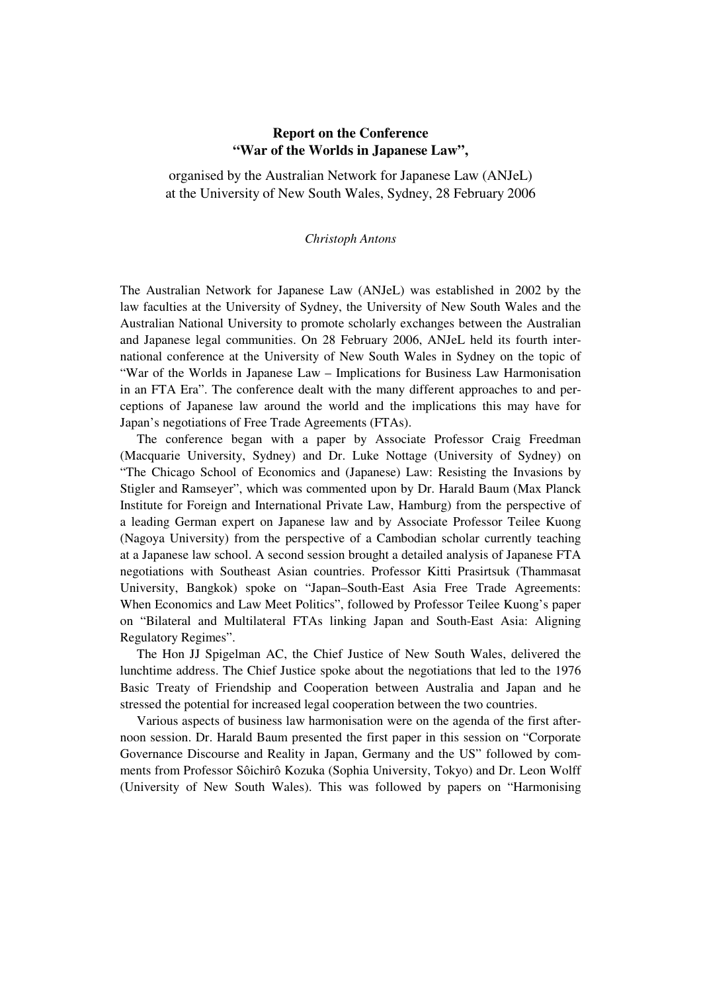## **Report on the Conference "War of the Worlds in Japanese Law",**

organised by the Australian Network for Japanese Law (ANJeL) at the University of New South Wales, Sydney, 28 February 2006

## *Christoph Antons*

The Australian Network for Japanese Law (ANJeL) was established in 2002 by the law faculties at the University of Sydney, the University of New South Wales and the Australian National University to promote scholarly exchanges between the Australian and Japanese legal communities. On 28 February 2006, ANJeL held its fourth international conference at the University of New South Wales in Sydney on the topic of "War of the Worlds in Japanese Law – Implications for Business Law Harmonisation in an FTA Era". The conference dealt with the many different approaches to and perceptions of Japanese law around the world and the implications this may have for Japan's negotiations of Free Trade Agreements (FTAs).

The conference began with a paper by Associate Professor Craig Freedman (Macquarie University, Sydney) and Dr. Luke Nottage (University of Sydney) on "The Chicago School of Economics and (Japanese) Law: Resisting the Invasions by Stigler and Ramseyer", which was commented upon by Dr. Harald Baum (Max Planck Institute for Foreign and International Private Law, Hamburg) from the perspective of a leading German expert on Japanese law and by Associate Professor Teilee Kuong (Nagoya University) from the perspective of a Cambodian scholar currently teaching at a Japanese law school. A second session brought a detailed analysis of Japanese FTA negotiations with Southeast Asian countries. Professor Kitti Prasirtsuk (Thammasat University, Bangkok) spoke on "Japan–South-East Asia Free Trade Agreements: When Economics and Law Meet Politics", followed by Professor Teilee Kuong's paper on "Bilateral and Multilateral FTAs linking Japan and South-East Asia: Aligning Regulatory Regimes".

The Hon JJ Spigelman AC, the Chief Justice of New South Wales, delivered the lunchtime address. The Chief Justice spoke about the negotiations that led to the 1976 Basic Treaty of Friendship and Cooperation between Australia and Japan and he stressed the potential for increased legal cooperation between the two countries.

Various aspects of business law harmonisation were on the agenda of the first afternoon session. Dr. Harald Baum presented the first paper in this session on "Corporate Governance Discourse and Reality in Japan, Germany and the US" followed by comments from Professor Sôichirô Kozuka (Sophia University, Tokyo) and Dr. Leon Wolff (University of New South Wales). This was followed by papers on "Harmonising